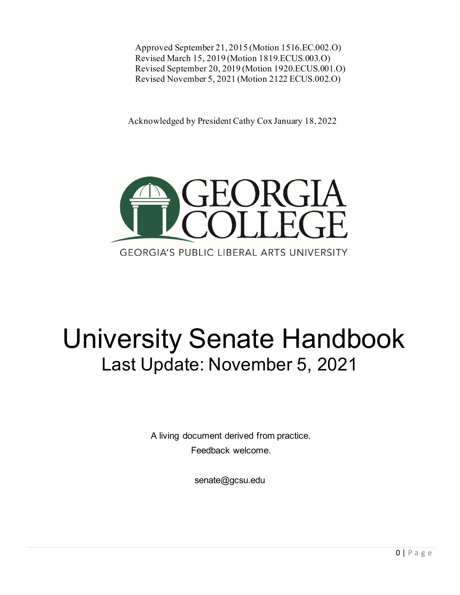Approved September 21, 2015 (Motion 1516.EC.002.O) Revised March 15, 2019 (Motion 1819.ECUS.003.O) Revised September 20, 2019 (Motion 1920.ECUS.001.O) Revised November 5, 2021 (Motion 2122 ECUS.002.O)

Acknowledged by President Cathy Cox January 18, 2022



# University Senate Handbook Last Update: November 5, 2021

A living document derived from practice. Feedback welcome.

senate@gcsu.edu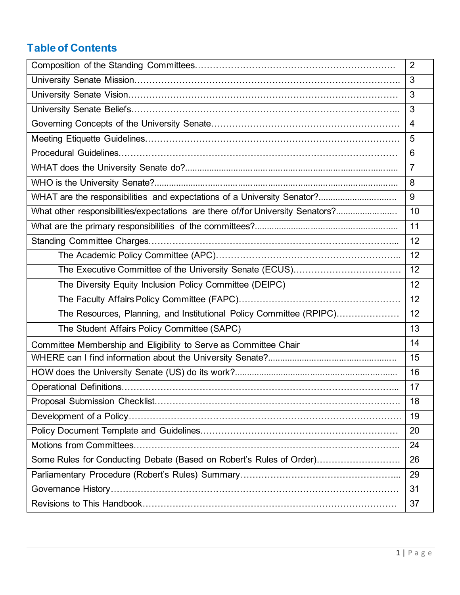## **Table of Contents**

|                                                                                | $\overline{2}$ |
|--------------------------------------------------------------------------------|----------------|
|                                                                                | 3              |
|                                                                                | $\mathbf{3}$   |
|                                                                                | $\mathbf{3}$   |
|                                                                                | $\overline{4}$ |
|                                                                                | 5              |
|                                                                                | 6              |
|                                                                                | $\overline{7}$ |
|                                                                                | 8              |
|                                                                                | 9              |
| What other responsibilities/expectations are there of/for University Senators? | 10             |
|                                                                                | 11             |
|                                                                                | 12             |
|                                                                                | 12             |
|                                                                                | 12             |
| The Diversity Equity Inclusion Policy Committee (DEIPC)                        | 12             |
|                                                                                | 12             |
| The Resources, Planning, and Institutional Policy Committee (RPIPC)            | 12             |
| The Student Affairs Policy Committee (SAPC)                                    | 13             |
| Committee Membership and Eligibility to Serve as Committee Chair               | 14             |
|                                                                                | 15             |
|                                                                                | 16             |
|                                                                                | 17             |
|                                                                                | 18             |
|                                                                                | 19             |
|                                                                                | 20             |
|                                                                                | 24             |
| Some Rules for Conducting Debate (Based on Robert's Rules of Order)            | 26             |
|                                                                                | 29             |
|                                                                                | 31             |
|                                                                                | 37             |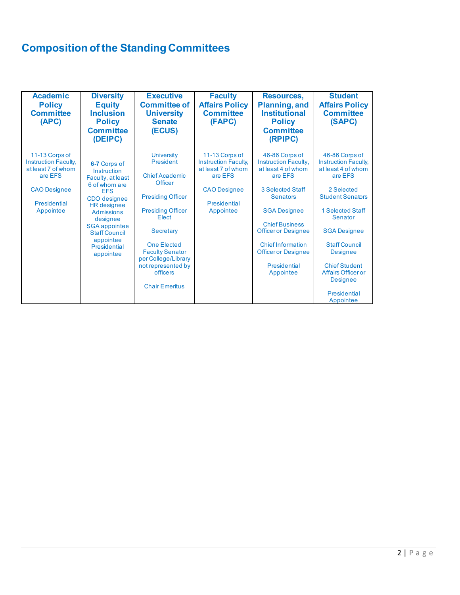# **Composition of the Standing Committees**

| <b>Academic</b><br><b>Policy</b><br><b>Committee</b><br>(APC)                                                                      | <b>Diversity</b><br><b>Equity</b><br><b>Inclusion</b><br><b>Policy</b><br><b>Committee</b><br>(DEIPC)                                                                                                                                            | <b>Executive</b><br><b>Committee of</b><br><b>University</b><br><b>Senate</b><br>(ECUS)                                                                                                                                                                                                   | <b>Faculty</b><br><b>Affairs Policy</b><br><b>Committee</b><br>(FAPC)                                                       | <b>Resources,</b><br><b>Planning, and</b><br><b>Institutional</b><br><b>Policy</b><br><b>Committee</b><br>(RPIPC)                                                                                                                                                                                 | <b>Student</b><br><b>Affairs Policy</b><br><b>Committee</b><br>(SAPC)                                                                                                                                                                                                                                                         |
|------------------------------------------------------------------------------------------------------------------------------------|--------------------------------------------------------------------------------------------------------------------------------------------------------------------------------------------------------------------------------------------------|-------------------------------------------------------------------------------------------------------------------------------------------------------------------------------------------------------------------------------------------------------------------------------------------|-----------------------------------------------------------------------------------------------------------------------------|---------------------------------------------------------------------------------------------------------------------------------------------------------------------------------------------------------------------------------------------------------------------------------------------------|-------------------------------------------------------------------------------------------------------------------------------------------------------------------------------------------------------------------------------------------------------------------------------------------------------------------------------|
| 11-13 Corps of<br><b>Instruction Faculty,</b><br>at least 7 of whom<br>are EFS<br><b>CAO Designee</b><br>Presidential<br>Appointee | 6-7 Corps of<br>Instruction<br>Faculty, at least<br>6 of whom are<br><b>FFS</b><br>CDO designee<br><b>HR</b> designee<br><b>Admissions</b><br>designee<br><b>SGA</b> appointee<br><b>Staff Council</b><br>appointee<br>Presidential<br>appointee | <b>University</b><br>President<br><b>Chief Academic</b><br><b>Officer</b><br><b>Presiding Officer</b><br><b>Presiding Officer</b><br>Elect<br>Secretary<br><b>One Elected</b><br><b>Faculty Senator</b><br>per College/Library<br>not represented by<br>officers<br><b>Chair Emeritus</b> | 11-13 Corps of<br>Instruction Faculty,<br>at least 7 of whom<br>are EFS<br><b>CAO Designee</b><br>Presidential<br>Appointee | 46-86 Corps of<br><b>Instruction Faculty,</b><br>at least 4 of whom<br>are EFS<br>3 Selected Staff<br><b>Senators</b><br><b>SGA Designee</b><br><b>Chief Business</b><br><b>Officer or Designee</b><br><b>Chief Information</b><br><b>Officer or Designee</b><br><b>Presidential</b><br>Appointee | 46-86 Corps of<br><b>Instruction Faculty,</b><br>at least 4 of whom<br>are EFS<br>2 Selected<br><b>Student Senators</b><br>1 Selected Staff<br>Senator<br><b>SGA Designee</b><br><b>Staff Council</b><br><b>Designee</b><br><b>Chief Student</b><br><b>Affairs Officer or</b><br><b>Designee</b><br>Presidential<br>Appointee |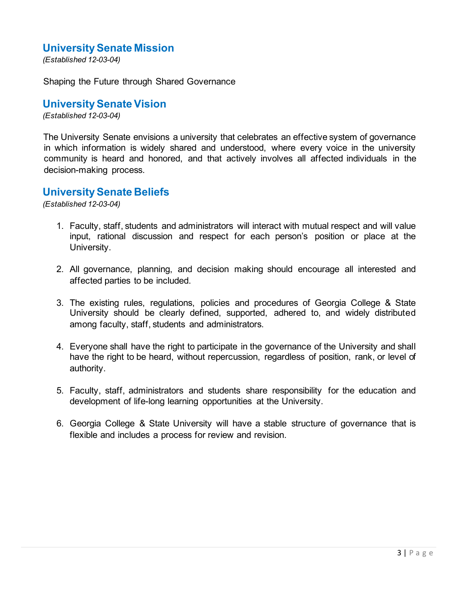### **University Senate Mission**

*(Established 12-03-04)*

Shaping the Future through Shared Governance

### **University Senate Vision**

*(Established 12-03-04)*

The University Senate envisions a university that celebrates an effective system of governance in which information is widely shared and understood, where every voice in the university community is heard and honored, and that actively involves all affected individuals in the decision-making process.

### **University Senate Beliefs**

*(Established 12-03-04)*

- 1. Faculty, staff, students and administrators will interact with mutual respect and will value input, rational discussion and respect for each person's position or place at the University.
- 2. All governance, planning, and decision making should encourage all interested and affected parties to be included.
- 3. The existing rules, regulations, policies and procedures of Georgia College & State University should be clearly defined, supported, adhered to, and widely distributed among faculty, staff, students and administrators.
- 4. Everyone shall have the right to participate in the governance of the University and shall have the right to be heard, without repercussion, regardless of position, rank, or level of authority.
- 5. Faculty, staff, administrators and students share responsibility for the education and development of life-long learning opportunities at the University.
- 6. Georgia College & State University will have a stable structure of governance that is flexible and includes a process for review and revision.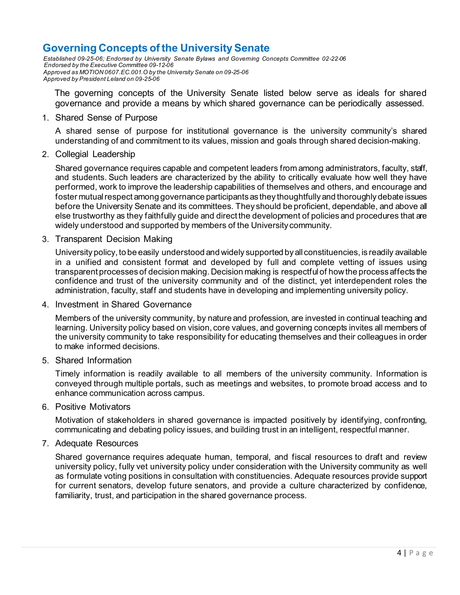### **Governing Concepts of the University Senate**

*Established 09-25-06; Endorsed by University Senate Bylaws and Governing Concepts Committee 02-22-06 Endorsed by the Executive Committee 09-12-06 Approved as MOTION 0607.EC.001.O by the University Senate on 09-25-06 Approved by President Leland on 09-25-06*

The governing concepts of the University Senate listed below serve as ideals for shared governance and provide a means by which shared governance can be periodically assessed.

#### 1. Shared Sense of Purpose

A shared sense of purpose for institutional governance is the university community's shared understanding of and commitment to its values, mission and goals through shared decision-making.

2. Collegial Leadership

Shared governance requires capable and competent leaders from among administrators, faculty, staff, and students. Such leaders are characterized by the ability to critically evaluate how well they have performed, work to improve the leadership capabilities of themselves and others, and encourage and foster mutual respect among governance participants as they thoughtfully and thoroughly debate issues before the University Senate and its committees. They should be proficient, dependable, and above all else trustworthy as they faithfully guide and direct the development of policies and procedures that are widely understood and supported by members of the University community.

3. Transparent Decision Making

University policy, to be easily understood and widely supported by all constituencies, is readily available in a unified and consistent format and developed by full and complete vetting of issues using transparent processes of decision making. Decision making is respectful of how the process affects the confidence and trust of the university community and of the distinct, yet interdependent roles the administration, faculty, staff and students have in developing and implementing university policy.

4. Investment in Shared Governance

Members of the university community, by nature and profession, are invested in continual teaching and learning. University policy based on vision, core values, and governing concepts invites all members of the university community to take responsibility for educating themselves and their colleagues in order to make informed decisions.

5. Shared Information

Timely information is readily available to all members of the university community. Information is conveyed through multiple portals, such as meetings and websites, to promote broad access and to enhance communication across campus.

6. Positive Motivators

Motivation of stakeholders in shared governance is impacted positively by identifying, confronting, communicating and debating policy issues, and building trust in an intelligent, respectful manner.

#### 7. Adequate Resources

Shared governance requires adequate human, temporal, and fiscal resources to draft and review university policy, fully vet university policy under consideration with the University community as well as formulate voting positions in consultation with constituencies. Adequate resources provide support for current senators, develop future senators, and provide a culture characterized by confidence, familiarity, trust, and participation in the shared governance process.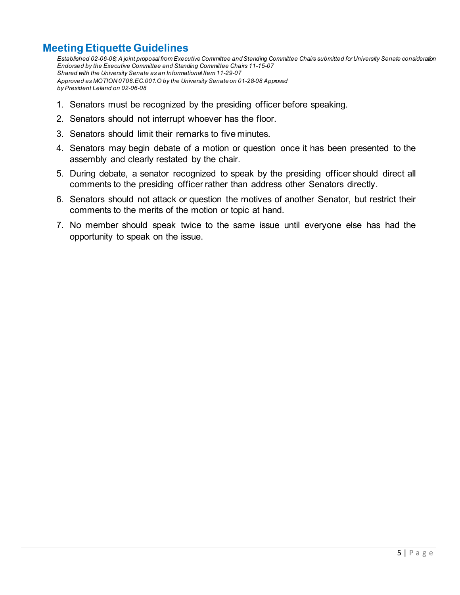### **Meeting Etiquette Guidelines**

*Established 02-06-08; A joint proposal from Executive Committee and Standing Committee Chairs submitted for University Senate consideration Endorsed by the Executive Committee and Standing Committee Chairs 11-15-07 Shared with the University Senate as an Informational Item 11-29-07 Approved as MOTION 0708.EC.001.O by the University Senate on 01-28-08 Approved by President Leland on 02-06-08*

- 1. Senators must be recognized by the presiding officer before speaking.
- 2. Senators should not interrupt whoever has the floor.
- 3. Senators should limit their remarks to five minutes.
- 4. Senators may begin debate of a motion or question once it has been presented to the assembly and clearly restated by the chair.
- 5. During debate, a senator recognized to speak by the presiding officer should direct all comments to the presiding officer rather than address other Senators directly.
- 6. Senators should not attack or question the motives of another Senator, but restrict their comments to the merits of the motion or topic at hand.
- 7. No member should speak twice to the same issue until everyone else has had the opportunity to speak on the issue.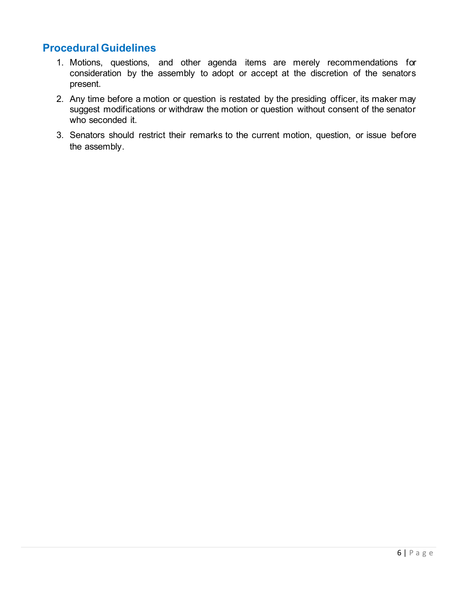### **Procedural Guidelines**

- 1. Motions, questions, and other agenda items are merely recommendations for consideration by the assembly to adopt or accept at the discretion of the senators present.
- 2. Any time before a motion or question is restated by the presiding officer, its maker may suggest modifications or withdraw the motion or question without consent of the senator who seconded it.
- 3. Senators should restrict their remarks to the current motion, question, or issue before the assembly.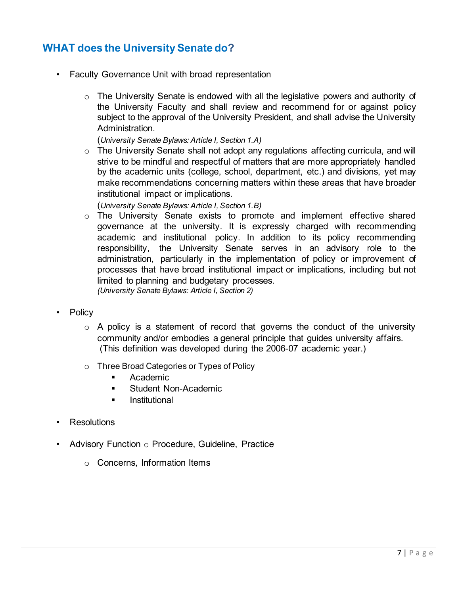### **WHAT does the University Senate do?**

- Faculty Governance Unit with broad representation
	- $\circ$  The University Senate is endowed with all the legislative powers and authority of the University Faculty and shall review and recommend for or against policy subject to the approval of the University President, and shall advise the University Administration.

(*University Senate Bylaws: Article I, Section 1.A)*

o The University Senate shall not adopt any regulations affecting curricula, and will strive to be mindful and respectful of matters that are more appropriately handled by the academic units (college, school, department, etc.) and divisions, yet may make recommendations concerning matters within these areas that have broader institutional impact or implications.

(*University Senate Bylaws: Article I, Section 1.B)*

- o The University Senate exists to promote and implement effective shared governance at the university. It is expressly charged with recommending academic and institutional policy. In addition to its policy recommending responsibility, the University Senate serves in an advisory role to the administration, particularly in the implementation of policy or improvement of processes that have broad institutional impact or implications, including but not limited to planning and budgetary processes. *(University Senate Bylaws: Article I, Section 2)*
- Policy
	- $\circ$  A policy is a statement of record that governs the conduct of the university community and/or embodies a general principle that guides university affairs. (This definition was developed during the 2006-07 academic year.)
	- o Three Broad Categories or Types of Policy
		- **Academic**
		- **Student Non-Academic**
		- **I** Institutional
- Resolutions
- Advisory Function o Procedure, Guideline, Practice
	- o Concerns, Information Items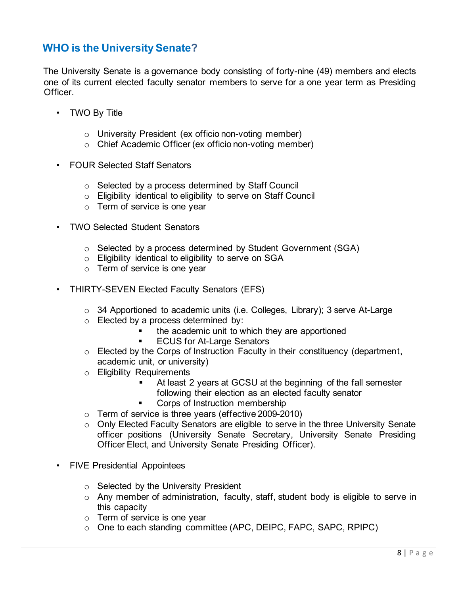### **WHO is the University Senate?**

The University Senate is a governance body consisting of forty-nine (49) members and elects one of its current elected faculty senator members to serve for a one year term as Presiding Officer.

- TWO By Title
	- o University President (ex officio non-voting member)
	- o Chief Academic Officer (ex officio non-voting member)
- FOUR Selected Staff Senators
	- o Selected by a process determined by Staff Council
	- o Eligibility identical to eligibility to serve on Staff Council
	- o Term of service is one year
- TWO Selected Student Senators
	- o Selected by a process determined by Student Government (SGA)
	- o Eligibility identical to eligibility to serve on SGA
	- o Term of service is one year
- THIRTY-SEVEN Elected Faculty Senators (EFS)
	- o 34 Apportioned to academic units (i.e. Colleges, Library); 3 serve At-Large
	- o Elected by a process determined by:
		- the academic unit to which they are apportioned
			- ECUS for At-Large Senators
	- $\circ$  Elected by the Corps of Instruction Faculty in their constituency (department, academic unit, or university)
	- o Eligibility Requirements
		- At least 2 years at GCSU at the beginning of the fall semester following their election as an elected faculty senator
		- Corps of Instruction membership
	- o Term of service is three years (effective 2009-2010)
	- o Only Elected Faculty Senators are eligible to serve in the three University Senate officer positions (University Senate Secretary, University Senate Presiding Officer Elect, and University Senate Presiding Officer).
- FIVE Presidential Appointees
	- o Selected by the University President
	- o Any member of administration, faculty, staff, student body is eligible to serve in this capacity
	- o Term of service is one year
	- o One to each standing committee (APC, DEIPC, FAPC, SAPC, RPIPC)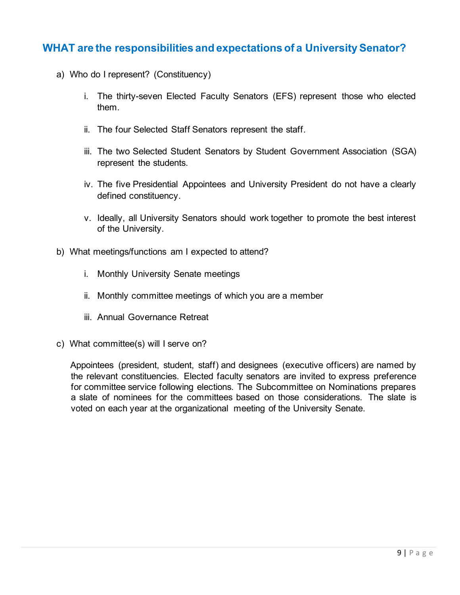### **WHAT are the responsibilities and expectations of a University Senator?**

- a) Who do I represent? (Constituency)
	- i. The thirty-seven Elected Faculty Senators (EFS) represent those who elected them.
	- ii. The four Selected Staff Senators represent the staff.
	- iii. The two Selected Student Senators by Student Government Association (SGA) represent the students.
	- iv. The five Presidential Appointees and University President do not have a clearly defined constituency.
	- v. Ideally, all University Senators should work together to promote the best interest of the University.
- b) What meetings/functions am I expected to attend?
	- i. Monthly University Senate meetings
	- ii. Monthly committee meetings of which you are a member
	- iii. Annual Governance Retreat
- c) What committee(s) will I serve on?

Appointees (president, student, staff) and designees (executive officers) are named by the relevant constituencies. Elected faculty senators are invited to express preference for committee service following elections. The Subcommittee on Nominations prepares a slate of nominees for the committees based on those considerations. The slate is voted on each year at the organizational meeting of the University Senate.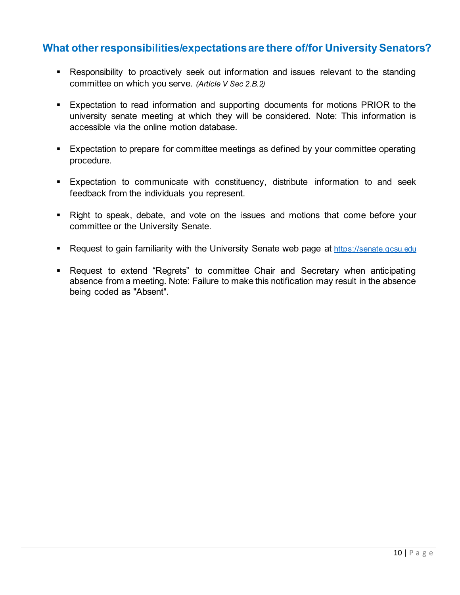### **What other responsibilities/expectations are there of/for University Senators?**

- Responsibility to proactively seek out information and issues relevant to the standing committee on which you serve. *(Article V Sec 2.B.2)*
- **Expectation to read information and supporting documents for motions PRIOR to the** university senate meeting at which they will be considered. Note: This information is accessible via the online motion database.
- **Expectation to prepare for committee meetings as defined by your committee operating** procedure.
- Expectation to communicate with constituency, distribute information to and seek feedback from the individuals you represent.
- Right to speak, debate, and vote on the issues and motions that come before your committee or the University Senate.
- **Request to gain familiarity with the University Senate web page at [https://senate.gcsu.edu](https://senate.gcsu.edu/)lty**
- Request to extend "Regrets" to committee Chair and Secretary when anticipating absence from a meeting. Note: Failure to make this notification may result in the absence being coded as "Absent".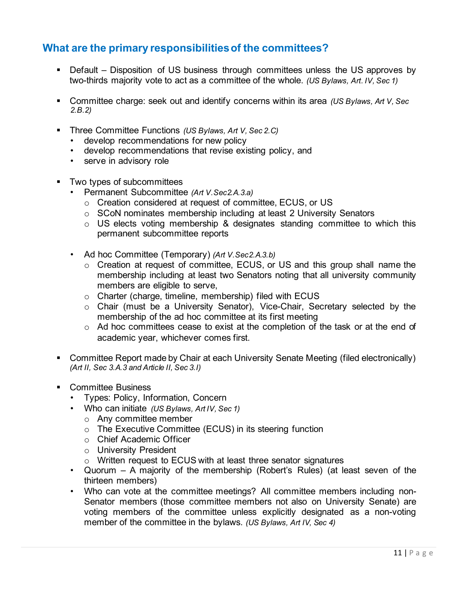### **What are the primary responsibilities of the committees?**

- Default Disposition of US business through committees unless the US approves by two-thirds majority vote to act as a committee of the whole. *(US Bylaws, Art. IV, Sec 1)*
- Committee charge: seek out and identify concerns within its area *(US Bylaws, Art V, Sec 2.B.2)*
- Three Committee Functions *(US Bylaws, Art V, Sec 2.C)*
	- develop recommendations for new policy
	- develop recommendations that revise existing policy, and
	- serve in advisory role
- **Two types of subcommittees** 
	- Permanent Subcommittee *(Art V.Sec2.A.3.a)*
		- o Creation considered at request of committee, ECUS, or US
		- o SCoN nominates membership including at least 2 University Senators
		- $\circ$  US elects voting membership & designates standing committee to which this permanent subcommittee reports
	- Ad hoc Committee (Temporary) *(Art V.Sec2.A.3.b)*
		- o Creation at request of committee, ECUS, or US and this group shall name the membership including at least two Senators noting that all university community members are eligible to serve,
		- o Charter (charge, timeline, membership) filed with ECUS
		- o Chair (must be a University Senator), Vice-Chair, Secretary selected by the membership of the ad hoc committee at its first meeting
		- $\circ$  Ad hoc committees cease to exist at the completion of the task or at the end of academic year, whichever comes first.
- Committee Report made by Chair at each University Senate Meeting (filed electronically) *(Art II, Sec 3.A.3 and Article II, Sec 3.I)*
- Committee Business
	- Types: Policy, Information, Concern
	- Who can initiate *(US Bylaws, Art IV, Sec 1)*
		- o Any committee member
		- o The Executive Committee (ECUS) in its steering function
		- o Chief Academic Officer
		- o University President
		- o Written request to ECUS with at least three senator signatures
	- Quorum A majority of the membership (Robert's Rules) (at least seven of the thirteen members)
	- Who can vote at the committee meetings? All committee members including non-Senator members (those committee members not also on University Senate) are voting members of the committee unless explicitly designated as a non-voting member of the committee in the bylaws. *(US Bylaws, Art IV, Sec 4)*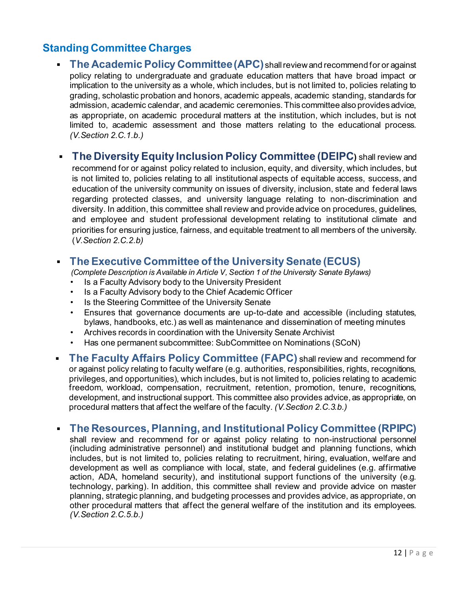### **Standing Committee Charges**

- **The Academic Policy Committee (APC)** shall review and recommend for or against policy relating to undergraduate and graduate education matters that have broad impact or implication to the university as a whole, which includes, but is not limited to, policies relating to grading, scholastic probation and honors, academic appeals, academic standing, standards for admission, academic calendar, and academic ceremonies. This committee also provides advice, as appropriate, on academic procedural matters at the institution, which includes, but is not limited to, academic assessment and those matters relating to the educational process. *(V.Section 2.C.1.b.)*
- **The Diversity Equity Inclusion Policy Committee (DEIPC)** shall review and

recommend for or against policy related to inclusion, equity, and diversity, which includes, but is not limited to, policies relating to all institutional aspects of equitable access, success, and education of the university community on issues of diversity, inclusion, state and federal laws regarding protected classes, and university language relating to non-discrimination and diversity. In addition, this committee shall review and provide advice on procedures, guidelines, and employee and student professional development relating to institutional climate and priorities for ensuring justice, fairness, and equitable treatment to all members of the university. (*V.Section 2.C.2.b)*

### **The Executive Committee of the University Senate (ECUS)**

*(Complete Description is Available in Article V, Section 1 of the University Senate Bylaws)*

- Is a Faculty Advisory body to the University President
- Is a Faculty Advisory body to the Chief Academic Officer
- Is the Steering Committee of the University Senate
- Ensures that governance documents are up-to-date and accessible (including statutes, bylaws, handbooks, etc.) as well as maintenance and dissemination of meeting minutes
- Archives records in coordination with the University Senate Archivist
- Has one permanent subcommittee: SubCommittee on Nominations (SCoN)
- **The Faculty Affairs Policy Committee (FAPC)** shall review and recommend for or against policy relating to faculty welfare (e.g. authorities, responsibilities, rights, recognitions, privileges, and opportunities), which includes, but is not limited to, policies relating to academic freedom, workload, compensation, recruitment, retention, promotion, tenure, recognitions, development, and instructional support. This committee also provides advice, as appropriate, on procedural matters that affect the welfare of the faculty. *(V.Section 2.C.3.b.)*

### **The Resources, Planning, and Institutional Policy Committee (RPIPC)**

shall review and recommend for or against policy relating to non-instructional personnel (including administrative personnel) and institutional budget and planning functions, which includes, but is not limited to, policies relating to recruitment, hiring, evaluation, welfare and development as well as compliance with local, state, and federal guidelines (e.g. affirmative action, ADA, homeland security), and institutional support functions of the university (e.g. technology, parking). In addition, this committee shall review and provide advice on master planning, strategic planning, and budgeting processes and provides advice, as appropriate, on other procedural matters that affect the general welfare of the institution and its employees. *(V.Section 2.C.5.b.)*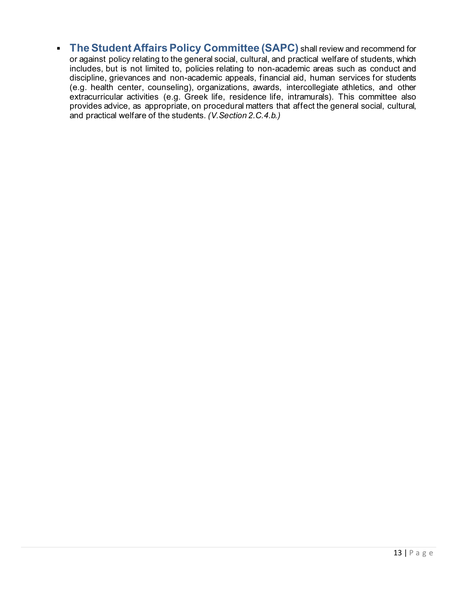**The Student Affairs Policy Committee (SAPC)** shall review and recommend for or against policy relating to the general social, cultural, and practical welfare of students, which includes, but is not limited to, policies relating to non-academic areas such as conduct and discipline, grievances and non-academic appeals, financial aid, human services for students (e.g. health center, counseling), organizations, awards, intercollegiate athletics, and other extracurricular activities (e.g. Greek life, residence life, intramurals). This committee also provides advice, as appropriate, on procedural matters that affect the general social, cultural, and practical welfare of the students. *(V.Section 2.C.4.b.)*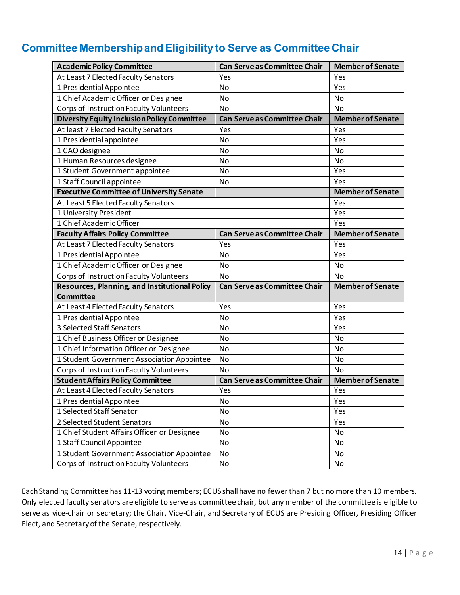### **Committee Membership and Eligibility to Serve as Committee Chair**

| <b>Academic Policy Committee</b>                   | <b>Can Serve as Committee Chair</b> | <b>Member of Senate</b> |
|----------------------------------------------------|-------------------------------------|-------------------------|
| At Least 7 Elected Faculty Senators                | Yes                                 | Yes                     |
| 1 Presidential Appointee                           | No                                  | Yes                     |
| 1 Chief Academic Officer or Designee               | No                                  | No                      |
| Corps of Instruction Faculty Volunteers            | <b>No</b>                           | <b>No</b>               |
| <b>Diversity Equity Inclusion Policy Committee</b> | <b>Can Serve as Committee Chair</b> | <b>Member of Senate</b> |
| At least 7 Elected Faculty Senators                | Yes                                 | Yes                     |
| 1 Presidential appointee                           | <b>No</b>                           | Yes                     |
| 1 CAO designee                                     | No                                  | No                      |
| 1 Human Resources designee                         | No                                  | <b>No</b>               |
| 1 Student Government appointee                     | No                                  | Yes                     |
| 1 Staff Council appointee                          | No                                  | Yes                     |
| <b>Executive Committee of University Senate</b>    |                                     | <b>Member of Senate</b> |
| At Least 5 Elected Faculty Senators                |                                     | Yes                     |
| 1 University President                             |                                     | Yes                     |
| 1 Chief Academic Officer                           |                                     | Yes                     |
| <b>Faculty Affairs Policy Committee</b>            | <b>Can Serve as Committee Chair</b> | <b>Member of Senate</b> |
| At Least 7 Elected Faculty Senators                | Yes                                 | Yes                     |
| 1 Presidential Appointee                           | <b>No</b>                           | Yes                     |
| 1 Chief Academic Officer or Designee               | No                                  | No                      |
| Corps of Instruction Faculty Volunteers            | <b>No</b>                           | No                      |
| Resources, Planning, and Institutional Policy      | <b>Can Serve as Committee Chair</b> | <b>Member of Senate</b> |
| Committee                                          |                                     |                         |
| At Least 4 Elected Faculty Senators                | Yes                                 | Yes                     |
| 1 Presidential Appointee                           | <b>No</b>                           | Yes                     |
| 3 Selected Staff Senators                          | No                                  | Yes                     |
| 1 Chief Business Officer or Designee               | <b>No</b>                           | <b>No</b>               |
| 1 Chief Information Officer or Designee            | No                                  | No                      |
| 1 Student Government Association Appointee         | No                                  | <b>No</b>               |
| Corps of Instruction Faculty Volunteers            | <b>No</b>                           | <b>No</b>               |
| <b>Student Affairs Policy Committee</b>            | Can Serve as Committee Chair        | <b>Member of Senate</b> |
| At Least 4 Elected Faculty Senators                | Yes                                 | Yes                     |
| 1 Presidential Appointee                           | No                                  | Yes                     |
| 1 Selected Staff Senator                           | No                                  | Yes                     |
| 2 Selected Student Senators                        | No                                  | Yes                     |
| 1 Chief Student Affairs Officer or Designee        | No                                  | No                      |
| 1 Staff Council Appointee                          | No                                  | No                      |
| 1 Student Government Association Appointee         | No                                  | No                      |
| Corps of Instruction Faculty Volunteers            | No                                  | No                      |

Each Standing Committee has 11-13 voting members; ECUS shall have no fewer than 7 but no more than 10 members. Only elected faculty senators are eligible to serve as committee chair, but any member of the committee is eligible to serve as vice-chair or secretary; the Chair, Vice-Chair, and Secretary of ECUS are Presiding Officer, Presiding Officer Elect, and Secretary of the Senate, respectively.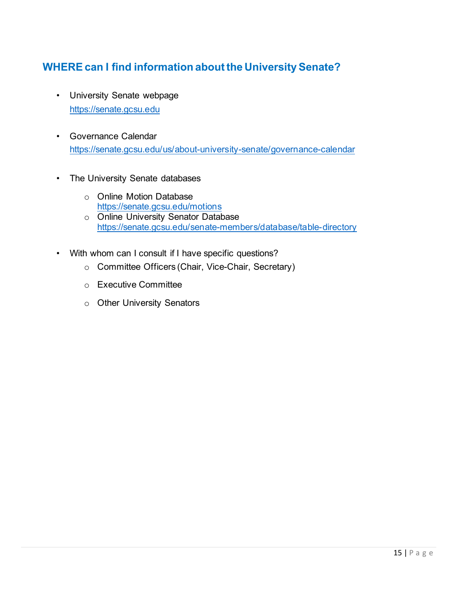### **WHERE can I find information about the University Senate?**

- University Senate webpage [https://senate.gcsu.edu](https://senate.gcsu.edu/)
- Governance Calendar <https://senate.gcsu.edu/us/about-university-senate/governance-calendar>
- The University Senate databases
	- o Online Motion Database <https://senate.gcsu.edu/motions>
	- o Online University Senator Database <https://senate.gcsu.edu/senate-members/database/table-directory>
- With whom can I consult if I have specific questions?
	- o Committee Officers (Chair, Vice-Chair, Secretary)
	- o Executive Committee
	- o Other University Senators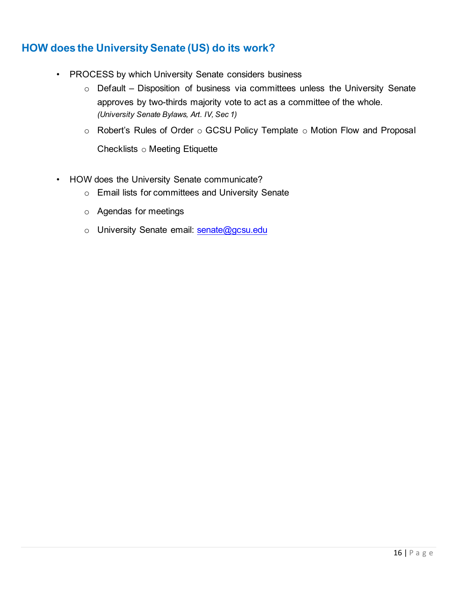### **HOW does the University Senate (US) do its work?**

- PROCESS by which University Senate considers business
	- $\circ$  Default Disposition of business via committees unless the University Senate approves by two-thirds majority vote to act as a committee of the whole. *(University Senate Bylaws, Art. IV, Sec 1)*
	- $\circ$  Robert's Rules of Order  $\circ$  GCSU Policy Template  $\circ$  Motion Flow and Proposal Checklists o Meeting Etiquette
- HOW does the University Senate communicate?
	- o Email lists for committees and University Senate
	- o Agendas for meetings
	- o University Senate email: senate@gcsu.edu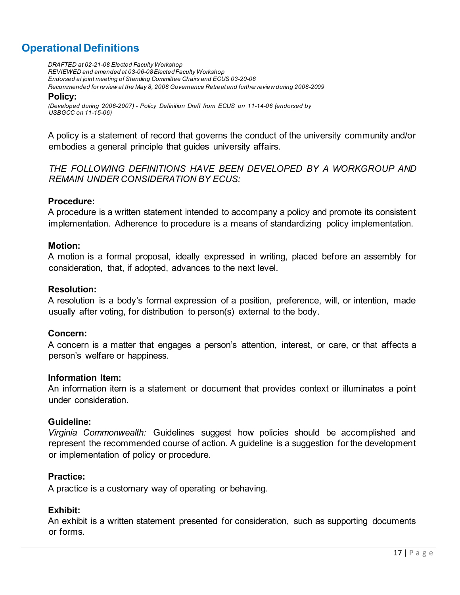### **Operational Definitions**

*DRAFTED at 02-21-08 Elected Faculty Workshop REVIEWED and amended at 03-06-08 Elected Faculty Workshop Endorsed at joint meeting of Standing Committee Chairs and ECUS 03-20-08 Recommended for review at the May 8, 2008 Governance Retreat and further review during 2008-2009*

#### **Policy:**

*(Developed during 2006-2007) - Policy Definition Draft from ECUS on 11-14-06 (endorsed by USBGCC on 11-15-06)*

A policy is a statement of record that governs the conduct of the university community and/or embodies a general principle that guides university affairs.

*THE FOLLOWING DEFINITIONS HAVE BEEN DEVELOPED BY A WORKGROUP AND REMAIN UNDER CONSIDERATION BY ECUS:*

#### **Procedure:**

A procedure is a written statement intended to accompany a policy and promote its consistent implementation. Adherence to procedure is a means of standardizing policy implementation.

### **Motion:**

A motion is a formal proposal, ideally expressed in writing, placed before an assembly for consideration, that, if adopted, advances to the next level.

#### **Resolution:**

A resolution is a body's formal expression of a position, preference, will, or intention, made usually after voting, for distribution to person(s) external to the body.

### **Concern:**

A concern is a matter that engages a person's attention, interest, or care, or that affects a person's welfare or happiness.

#### **Information Item:**

An information item is a statement or document that provides context or illuminates a point under consideration.

#### **Guideline:**

*Virginia Commonwealth:* Guidelines suggest how policies should be accomplished and represent the recommended course of action. A guideline is a suggestion for the development or implementation of policy or procedure.

#### **Practice:**

A practice is a customary way of operating or behaving.

### **Exhibit:**

An exhibit is a written statement presented for consideration, such as supporting documents or forms.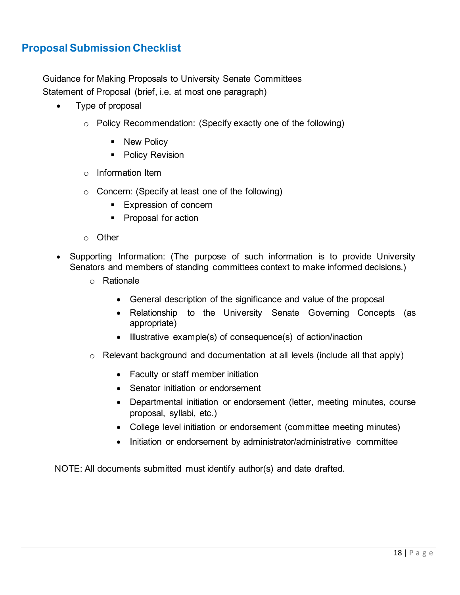### **Proposal Submission Checklist**

Guidance for Making Proposals to University Senate Committees Statement of Proposal (brief, i.e. at most one paragraph)

- Type of proposal
	- o Policy Recommendation: (Specify exactly one of the following)
		- **New Policy**
		- Policy Revision
	- o Information Item
	- o Concern: (Specify at least one of the following)
		- **Expression of concern**
		- Proposal for action
	- o Other
- Supporting Information: (The purpose of such information is to provide University Senators and members of standing committees context to make informed decisions.)
	- o Rationale
		- General description of the significance and value of the proposal
		- Relationship to the University Senate Governing Concepts (as appropriate)
		- Illustrative example(s) of consequence(s) of action/inaction
	- o Relevant background and documentation at all levels (include all that apply)
		- Faculty or staff member initiation
		- Senator initiation or endorsement
		- Departmental initiation or endorsement (letter, meeting minutes, course proposal, syllabi, etc.)
		- College level initiation or endorsement (committee meeting minutes)
		- Initiation or endorsement by administrator/administrative committee

NOTE: All documents submitted must identify author(s) and date drafted.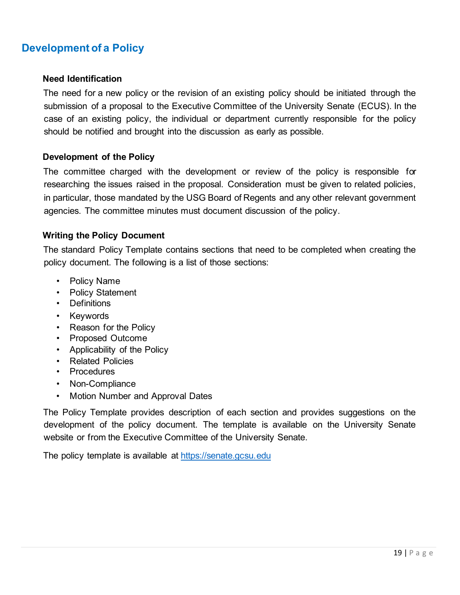### **Development of a Policy**

#### **Need Identification**

The need for a new policy or the revision of an existing policy should be initiated through the submission of a proposal to the Executive Committee of the University Senate (ECUS). In the case of an existing policy, the individual or department currently responsible for the policy should be notified and brought into the discussion as early as possible.

#### **Development of the Policy**

The committee charged with the development or review of the policy is responsible for researching the issues raised in the proposal. Consideration must be given to related policies, in particular, those mandated by the USG Board of Regents and any other relevant government agencies. The committee minutes must document discussion of the policy.

#### **Writing the Policy Document**

The standard Policy Template contains sections that need to be completed when creating the policy document. The following is a list of those sections:

- Policy Name
- Policy Statement
- Definitions
- Keywords
- Reason for the Policy
- Proposed Outcome
- Applicability of the Policy
- Related Policies
- Procedures
- Non-Compliance
- Motion Number and Approval Dates

The Policy Template provides description of each section and provides suggestions on the development of the policy document. The template is available on the University Senate website or from the Executive Committee of the University Senate.

The policy template is available at [https://senate.gcsu.edu](https://senate.gcsu.edu/)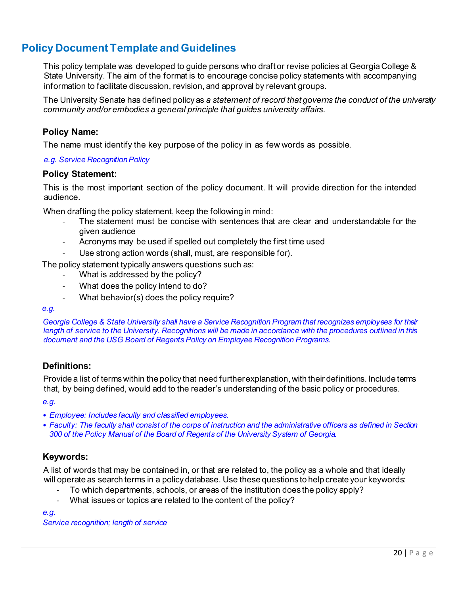### **Policy Document Template and Guidelines**

This policy template was developed to guide persons who draft or revise policies at Georgia College & State University. The aim of the format is to encourage concise policy statements with accompanying information to facilitate discussion, revision, and approval by relevant groups.

The University Senate has defined policy as *a statement of record that governs the conduct of the university community and/or embodies a general principle that guides university affairs.*

#### **Policy Name:**

The name must identify the key purpose of the policy in as few words as possible.

#### *e.g. Service Recognition Policy*

#### **Policy Statement:**

This is the most important section of the policy document. It will provide direction for the intended audience.

When drafting the policy statement, keep the following in mind:

- The statement must be concise with sentences that are clear and understandable for the given audience
- Acronyms may be used if spelled out completely the first time used
- Use strong action words (shall, must, are responsible for).

The policy statement typically answers questions such as:

- What is addressed by the policy?
- What does the policy intend to do?
- What behavior(s) does the policy require?

#### *e.g.*

*Georgia College & State University shall have a Service Recognition Program that recognizes employees for their length of service to the University. Recognitions will be made in accordance with the procedures outlined in this document and the USG Board of Regents Policy on Employee Recognition Programs.*

#### **Definitions:**

Provide a list of terms within the policy that need further explanation, with their definitions. Include terms that, by being defined, would add to the reader's understanding of the basic policy or procedures.

*e.g.*

- *Employee: Includes faculty and classified employees.*
- *Faculty: The faculty shall consist of the corps of instruction and the administrative officers as defined in Section 300 of the Policy Manual of the Board of Regents of the University System of Georgia.*

### **Keywords:**

A list of words that may be contained in, or that are related to, the policy as a whole and that ideally will operate as search terms in a policy database. Use these questions to help create your keywords:

- To which departments, schools, or areas of the institution does the policy apply?
- What issues or topics are related to the content of the policy?

*e.g.*

*Service recognition; length of service*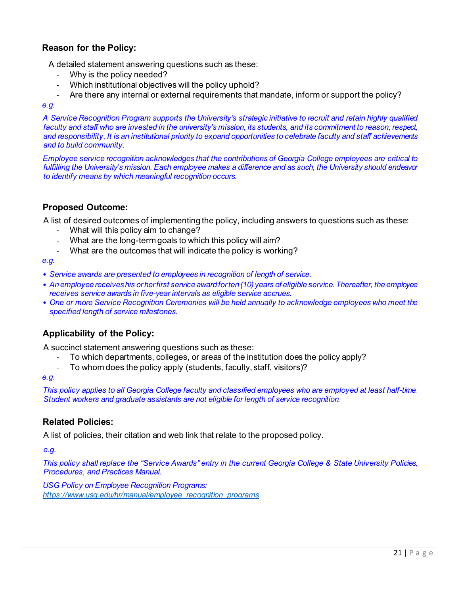### **Reason for the Policy:**

A detailed statement answering questions such as these:

- Why is the policy needed?
- Which institutional objectives will the policy uphold?
- Are there any internal or external requirements that mandate, inform or support the policy?

#### *e.g.*

*A Service Recognition Program supports the University's strategic initiative to recruit and retain highly qualified faculty and staff who are invested in the university's mission, its students, and its commitment to reason, respect, and responsibility. It is an institutional priority to expand opportunities to celebrate faculty and staff achievements and to build community.*

*Employee service recognition acknowledges that the contributions of Georgia College employees are critical to fulfilling the University's mission. Each employee makes a difference and as such, the University should endeavor to identify means by which meaningful recognition occurs.*

### **Proposed Outcome:**

A list of desired outcomes of implementing the policy, including answers to questions such as these:

- What will this policy aim to change?
- What are the long-term goals to which this policy will aim?
- What are the outcomes that will indicate the policy is working?

*e.g.*

- *Service awards are presented to employees in recognition of length of service.*
- *An employee receives his or her first service award for ten (10) years of eligible service. Thereafter, the employee receives service awards in five-year intervals as eligible service accrues.*
- *One or more Service Recognition Ceremonies will be held annually to acknowledge employees who meet the specified length of service milestones.*

### **Applicability of the Policy:**

A succinct statement answering questions such as these:

- To which departments, colleges, or areas of the institution does the policy apply?
- To whom does the policy apply (students, faculty, staff, visitors)?

#### *e.g.*

*This policy applies to all Georgia College faculty and classified employees who are employed at least half-time. Student workers and graduate assistants are not eligible for length of service recognition.*

#### **Related Policies:**

A list of policies, their citation and web link that relate to the proposed policy.

*e.g.*

*This policy shall replace the "Service Awards" entry in the current Georgia College & State University Policies, Procedures, and Practices Manual.*

*USG Policy on Employee Recognition Programs: [https://www.usg.edu/hr/manual/employee\\_recognition\\_programs](https://www.usg.edu/hr/manual/employee_recognition_programs)*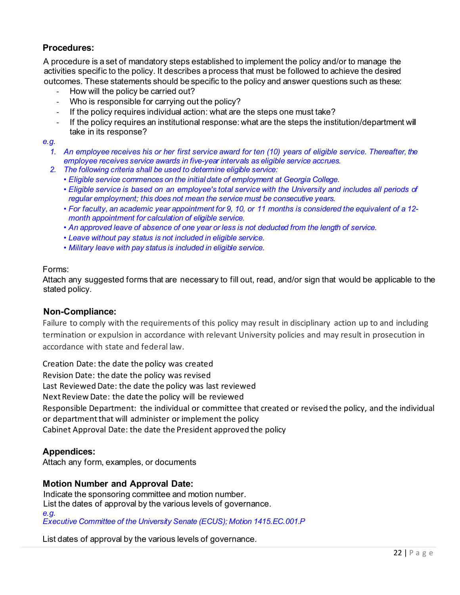### **Procedures:**

A procedure is a set of mandatory steps established to implement the policy and/or to manage the activities specific to the policy. It describes a process that must be followed to achieve the desired outcomes. These statements should be specific to the policy and answer questions such as these:

- How will the policy be carried out?
- Who is responsible for carrying out the policy?
- If the policy requires individual action: what are the steps one must take?
- If the policy requires an institutional response: what are the steps the institution/department will take in its response?

#### *e.g.*

- *1. An employee receives his or her first service award for ten (10) years of eligible service. Thereafter, the employee receives service awards in five-year intervals as eligible service accrues.*
- *2. The following criteria shall be used to determine eligible service:*
	- *• Eligible service commences on the initial date of employment at Georgia College.*
	- *• Eligible service is based on an employee's total service with the University and includes all periods of regular employment; this does not mean the service must be consecutive years.*
	- *• For faculty, an academic year appointment for 9, 10, or 11 months is considered the equivalent of a 12 month appointment for calculation of eligible service.*
	- *• An approved leave of absence of one year or less is not deducted from the length of service.*
	- *• Leave without pay status is not included in eligible service.*
	- *• Military leave with pay status is included in eligible service.*

#### Forms:

Attach any suggested forms that are necessary to fill out, read, and/or sign that would be applicable to the stated policy.

#### **Non-Compliance:**

Failure to comply with the requirements of this policy may result in disciplinary action up to and including termination or expulsion in accordance with relevant University policies and may result in prosecution in accordance with state and federal law.

Creation Date: the date the policy was created Revision Date: the date the policy was revised Last Reviewed Date: the date the policy was last reviewed Next Review Date: the date the policy will be reviewed Responsible Department: the individual or committee that created or revised the policy, and the individual or department that will administer or implement the policy Cabinet Approval Date: the date the President approved the policy

### **Appendices:**

Attach any form, examples, or documents

### **Motion Number and Approval Date:**

Indicate the sponsoring committee and motion number. List the dates of approval by the various levels of governance. *e.g. Executive Committee of the University Senate (ECUS); Motion 1415.EC.001.P*

List dates of approval by the various levels of governance.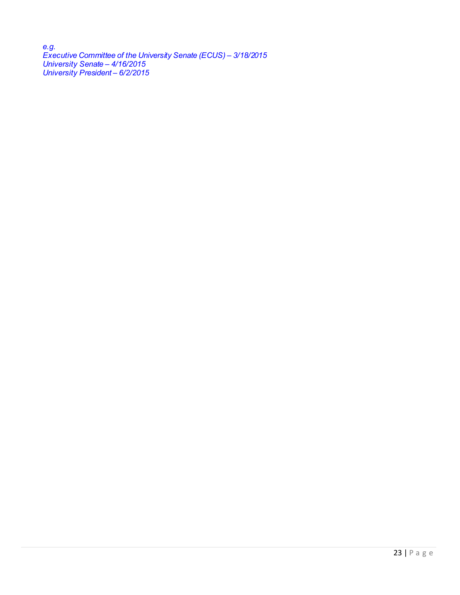*e.g. Executive Committee of the University Senate (ECUS) – 3/18/2015 University Senate – 4/16/2015 University President – 6/2/2015*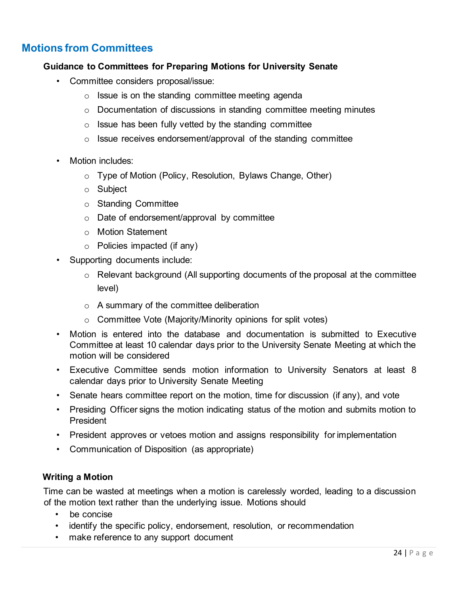### **Motions from Committees**

### **Guidance to Committees for Preparing Motions for University Senate**

- Committee considers proposal/issue:
	- $\circ$  Issue is on the standing committee meeting agenda
	- $\circ$  Documentation of discussions in standing committee meeting minutes
	- $\circ$  Issue has been fully vetted by the standing committee
	- o Issue receives endorsement/approval of the standing committee
- Motion includes:
	- o Type of Motion (Policy, Resolution, Bylaws Change, Other)
	- o Subject
	- o Standing Committee
	- o Date of endorsement/approval by committee
	- o Motion Statement
	- o Policies impacted (if any)
- Supporting documents include:
	- $\circ$  Relevant background (All supporting documents of the proposal at the committee level)
	- o A summary of the committee deliberation
	- o Committee Vote (Majority/Minority opinions for split votes)
- Motion is entered into the database and documentation is submitted to Executive Committee at least 10 calendar days prior to the University Senate Meeting at which the motion will be considered
- Executive Committee sends motion information to University Senators at least 8 calendar days prior to University Senate Meeting
- Senate hears committee report on the motion, time for discussion (if any), and vote
- Presiding Officer signs the motion indicating status of the motion and submits motion to President
- President approves or vetoes motion and assigns responsibility for implementation
- Communication of Disposition (as appropriate)

### **Writing a Motion**

Time can be wasted at meetings when a motion is carelessly worded, leading to a discussion of the motion text rather than the underlying issue. Motions should

- be concise
- identify the specific policy, endorsement, resolution, or recommendation
- make reference to any support document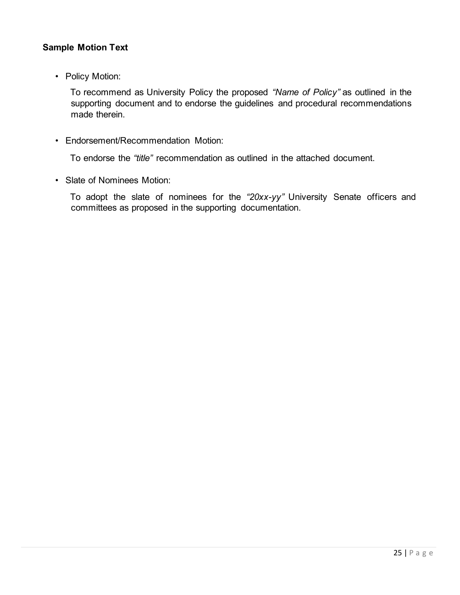### **Sample Motion Text**

• Policy Motion:

To recommend as University Policy the proposed *"Name of Policy"* as outlined in the supporting document and to endorse the guidelines and procedural recommendations made therein.

• Endorsement/Recommendation Motion:

To endorse the *"title"* recommendation as outlined in the attached document.

• Slate of Nominees Motion:

To adopt the slate of nominees for the *"20xx-yy"* University Senate officers and committees as proposed in the supporting documentation.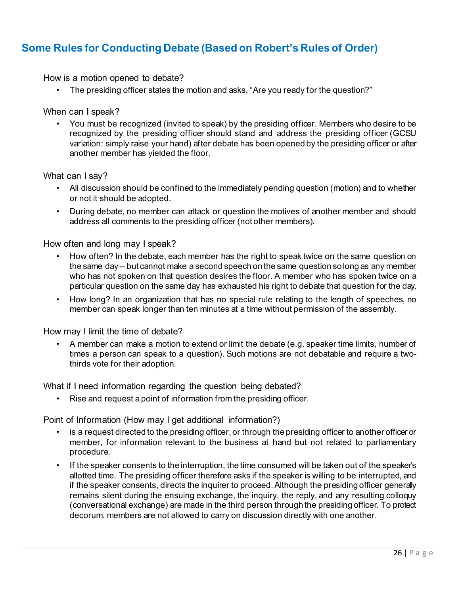### **Some Rules for Conducting Debate (Based on Robert's Rules of Order)**

How is a motion opened to debate?

• The presiding officer states the motion and asks, "Are you ready for the question?"

When can I speak?

• You must be recognized (invited to speak) by the presiding officer. Members who desire to be recognized by the presiding officer should stand and address the presiding officer (GCSU variation: simply raise your hand) after debate has been opened by the presiding officer or after another member has yielded the floor.

What can I say?

- All discussion should be confined to the immediately pending question (motion) and to whether or not it should be adopted.
- During debate, no member can attack or question the motives of another member and should address all comments to the presiding officer (not other members).

How often and long may I speak?

- How often? In the debate, each member has the right to speak twice on the same question on the same day – but cannot make a second speech on the same question so long as any member who has not spoken on that question desires the floor. A member who has spoken twice on a particular question on the same day has exhausted his right to debate that question for the day.
- How long? In an organization that has no special rule relating to the length of speeches, no member can speak longer than ten minutes at a time without permission of the assembly.

How may I limit the time of debate?

• A member can make a motion to extend or limit the debate (e.g. speaker time limits, number of times a person can speak to a question). Such motions are not debatable and require a twothirds vote for their adoption.

What if I need information regarding the question being debated?

• Rise and request a point of information from the presiding officer.

Point of Information (How may I get additional information?)

- is a request directed to the presiding officer, or through the presiding officer to another officer or member, for information relevant to the business at hand but not related to parliamentary procedure.
- If the speaker consents to the interruption, the time consumed will be taken out of the speaker's allotted time. The presiding officer therefore asks if the speaker is willing to be interrupted, and if the speaker consents, directs the inquirer to proceed. Although the presiding officer generally remains silent during the ensuing exchange, the inquiry, the reply, and any resulting colloquy (conversational exchange) are made in the third person through the presiding officer. To protect decorum, members are not allowed to carry on discussion directly with one another.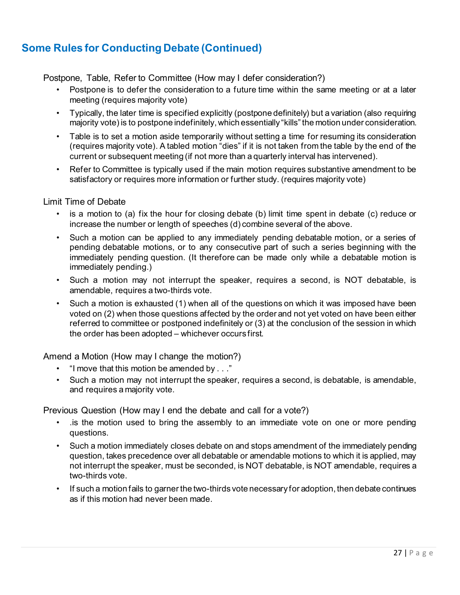### **Some Rules for Conducting Debate (Continued)**

Postpone, Table, Refer to Committee (How may I defer consideration?)

- Postpone is to defer the consideration to a future time within the same meeting or at a later meeting (requires majority vote)
- Typically, the later time is specified explicitly (postpone definitely) but a variation (also requiring majority vote) is to postpone indefinitely, which essentially "kills" the motion under consideration.
- Table is to set a motion aside temporarily without setting a time for resuming its consideration (requires majority vote). A tabled motion "dies" if it is not taken from the table by the end of the current or subsequent meeting (if not more than a quarterly interval has intervened).
- Refer to Committee is typically used if the main motion requires substantive amendment to be satisfactory or requires more information or further study. (requires majority vote)

#### Limit Time of Debate

- is a motion to (a) fix the hour for closing debate (b) limit time spent in debate (c) reduce or increase the number or length of speeches (d) combine several of the above.
- Such a motion can be applied to any immediately pending debatable motion, or a series of pending debatable motions, or to any consecutive part of such a series beginning with the immediately pending question. (It therefore can be made only while a debatable motion is immediately pending.)
- Such a motion may not interrupt the speaker, requires a second, is NOT debatable, is amendable, requires a two-thirds vote.
- Such a motion is exhausted (1) when all of the questions on which it was imposed have been voted on (2) when those questions affected by the order and not yet voted on have been either referred to committee or postponed indefinitely or (3) at the conclusion of the session in which the order has been adopted – whichever occurs first.

Amend a Motion (How may I change the motion?)

- "I move that this motion be amended by . . ."
- Such a motion may not interrupt the speaker, requires a second, is debatable, is amendable, and requires a majority vote.

Previous Question (How may I end the debate and call for a vote?)

- .is the motion used to bring the assembly to an immediate vote on one or more pending questions.
- Such a motion immediately closes debate on and stops amendment of the immediately pending question, takes precedence over all debatable or amendable motions to which it is applied, may not interrupt the speaker, must be seconded, is NOT debatable, is NOT amendable, requires a two-thirds vote.
- If such a motion fails to garner the two-thirds vote necessary for adoption, then debate continues as if this motion had never been made.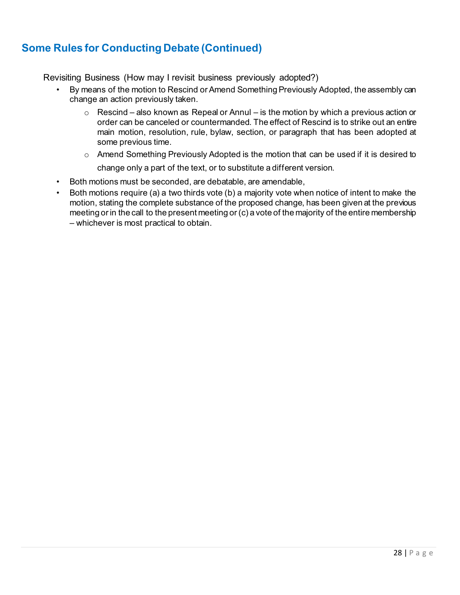### **Some Rules for Conducting Debate (Continued)**

Revisiting Business (How may I revisit business previously adopted?)

- By means of the motion to Rescind or Amend Something Previously Adopted, the assembly can change an action previously taken.
	- $\circ$  Rescind also known as Repeal or Annul is the motion by which a previous action or order can be canceled or countermanded. The effect of Rescind is to strike out an entire main motion, resolution, rule, bylaw, section, or paragraph that has been adopted at some previous time.
	- $\circ$  Amend Something Previously Adopted is the motion that can be used if it is desired to change only a part of the text, or to substitute a different version.
- Both motions must be seconded, are debatable, are amendable,
- Both motions require (a) a two thirds vote (b) a majority vote when notice of intent to make the motion, stating the complete substance of the proposed change, has been given at the previous meeting or in the call to the present meeting or (c) a vote of the majority of the entire membership – whichever is most practical to obtain.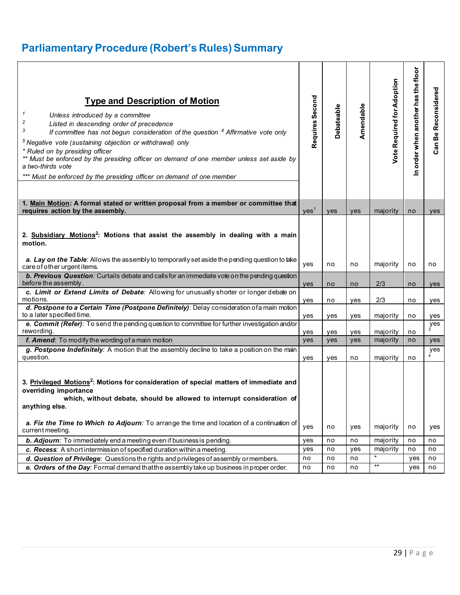# **Parliamentary Procedure (Robert's Rules) Summary**

| <b>Type and Description of Motion</b><br>$\mathbf{1}$<br>Unless introduced by a committee<br>2<br>Listed in descending order of precedence<br>3<br>If committee has not begun consideration of the question $4$ Affirmative vote only<br><sup>5</sup> Negative vote (sustaining objection or withdrawal) only<br>* Ruled on by presiding officer<br>** Must be enforced by the presiding officer on demand of one member unless set aside by<br>a two-thirds vote<br>*** Must be enforced by the presiding officer on demand of one member | Requires Second  | Debateable | Amendable | <b>Vote Required for Adoption</b> | n order when another has the floor | Reconsidered<br>Can Be |
|--------------------------------------------------------------------------------------------------------------------------------------------------------------------------------------------------------------------------------------------------------------------------------------------------------------------------------------------------------------------------------------------------------------------------------------------------------------------------------------------------------------------------------------------|------------------|------------|-----------|-----------------------------------|------------------------------------|------------------------|
| 1. Main Motion: A formal stated or written proposal from a member or committee that<br>requires action by the assembly.                                                                                                                                                                                                                                                                                                                                                                                                                    | yes <sup>1</sup> | ves        | yes       | majority                          | no                                 | yes                    |
| 2. Subsidiary Motions <sup>2</sup> : Motions that assist the assembly in dealing with a main<br>motion.<br>a. Lay on the Table: Allows the assembly to temporarily set aside the pending question to take<br>care of other urgent items.                                                                                                                                                                                                                                                                                                   | yes              | no         | no        | majority                          | no                                 | no                     |
| <b>b. Previous Question</b> : Curtails debate and calls for an immediate vote on the pending question<br>before the assembly.                                                                                                                                                                                                                                                                                                                                                                                                              | yes              | no         | no        | 2/3                               | no                                 | yes                    |
| c. Limit or Extend Limits of Debate: Allowing for unusually shorter or longer debate on<br>motions.                                                                                                                                                                                                                                                                                                                                                                                                                                        | yes              | no         | yes       | 2/3                               | no                                 | yes                    |
| d. Postpone to a Certain Time (Postpone Definitely): Delay consideration of a main motion<br>to a later specified time.                                                                                                                                                                                                                                                                                                                                                                                                                    | yes              | yes        | ves       | majority                          | no                                 | yes                    |
| e. Commit (Refer): To send the pending question to committee for further investigation and/or<br>rewording.                                                                                                                                                                                                                                                                                                                                                                                                                                | yes              | yes        | yes       | majority                          | no                                 | yes<br>$\overline{3}$  |
| f. Amend: To modify the wording of a main motion                                                                                                                                                                                                                                                                                                                                                                                                                                                                                           | yes              | yes        | yes       | majority                          | no                                 | yes                    |
| g. Postpone Indefinitely: A motion that the assembly decline to take a position on the main<br>question.                                                                                                                                                                                                                                                                                                                                                                                                                                   | yes              | yes        | no        | majority                          | no                                 | yes<br>$\tilde{4}$     |
| 3. Privileged Motions <sup>2</sup> : Motions for consideration of special matters of immediate and<br>overriding importance<br>which, without debate, should be allowed to interrupt consideration of<br>anything else.<br>a. Fix the Time to Which to Adjourn: To arrange the time and location of a continuation of                                                                                                                                                                                                                      | yes              | no         |           | majority                          | no                                 |                        |
| current meeting.                                                                                                                                                                                                                                                                                                                                                                                                                                                                                                                           |                  |            | yes       |                                   |                                    | yes                    |
| b. Adjourn: To immediately end a meeting even if business is pending.                                                                                                                                                                                                                                                                                                                                                                                                                                                                      | yes              | no         | no        | majority                          | no                                 | no                     |
| c. Recess: A short intermission of specified duration within a meeting.                                                                                                                                                                                                                                                                                                                                                                                                                                                                    | yes              | no         | yes       | majority                          | no                                 | no                     |
| d. Question of Privilege: Questions the rights and privileges of assembly or members.                                                                                                                                                                                                                                                                                                                                                                                                                                                      | no               | no         | no        | $\star$                           | yes                                | no                     |
| e. Orders of the Day: Formal demand that the assembly take up business in proper order.                                                                                                                                                                                                                                                                                                                                                                                                                                                    | no               | no         | no        | $\star\star$                      | yes                                | no                     |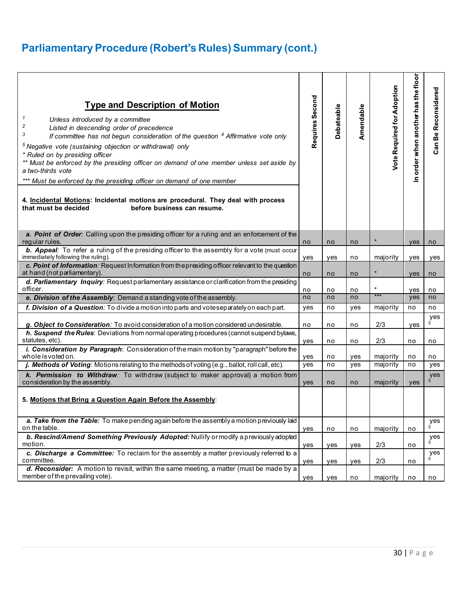# **Parliamentary Procedure (Robert's Rules) Summary (cont.)**

| <b>Type and Description of Motion</b><br>$\mathcal I$<br>Unless introduced by a committee<br>2<br>Listed in descending order of precedence<br>3<br>If committee has not begun consideration of the question $4$ Affirmative vote only<br><sup>5</sup> Negative vote (sustaining objection or withdrawal) only<br>* Ruled on by presiding officer<br>** Must be enforced by the presiding officer on demand of one member unless set aside by<br>a two-thirds vote<br>*** Must be enforced by the presiding officer on demand of one member<br>4. Incidental Motions: Incidental motions are procedural. They deal with process<br>that must be decided<br>before business can resume. | Requires Second | <b>Debateable</b> | Amendable  | Vote Required for Adoption | In order when another has the floor | Reconsidered<br>Be<br>Can |
|---------------------------------------------------------------------------------------------------------------------------------------------------------------------------------------------------------------------------------------------------------------------------------------------------------------------------------------------------------------------------------------------------------------------------------------------------------------------------------------------------------------------------------------------------------------------------------------------------------------------------------------------------------------------------------------|-----------------|-------------------|------------|----------------------------|-------------------------------------|---------------------------|
| a. Point of Order: Calling upon the presiding officer for a ruling and an enforcement of the<br>regular rules.                                                                                                                                                                                                                                                                                                                                                                                                                                                                                                                                                                        | no              | no                | no         | $\star$                    | <b>ves</b>                          | no                        |
| <b>b. Appeal:</b> To refer a ruling of the presiding officer to the assembly for a vote (must occur<br>immediately following the ruling).                                                                                                                                                                                                                                                                                                                                                                                                                                                                                                                                             | yes             | yes               | no         | majority                   | ves                                 | yes                       |
| c. Point of Information: Request Information from the presiding officer relevant to the question<br>at hand (not parliamentary).                                                                                                                                                                                                                                                                                                                                                                                                                                                                                                                                                      | no              | no                | no         | $\star$                    | <b>ves</b>                          | no                        |
| d. Parliamentary Inquiry: Request parliamentary assistance or clarification from the presiding<br>officer.                                                                                                                                                                                                                                                                                                                                                                                                                                                                                                                                                                            | no              | no                | no         | $\star$                    | yes                                 | no                        |
| e. Division of the Assembly: Demand a standing vote of the assembly.                                                                                                                                                                                                                                                                                                                                                                                                                                                                                                                                                                                                                  | no              | no                | no         | ***                        | yes                                 | no                        |
| f. Division of a Question: To divide a motion into parts and voteseparately on each part.                                                                                                                                                                                                                                                                                                                                                                                                                                                                                                                                                                                             | yes             | no                | yes        | majority                   | no                                  | no                        |
|                                                                                                                                                                                                                                                                                                                                                                                                                                                                                                                                                                                                                                                                                       |                 |                   |            |                            |                                     | yes                       |
| g. Object to Consideration: To avoid consideration of a motion considered undesirable.<br>h. Suspend the Rules: Deviations from normal operating procedures (cannot suspend bylaws,                                                                                                                                                                                                                                                                                                                                                                                                                                                                                                   | no              | no                | no         | 2/3                        | yes                                 |                           |
| statutes, etc).                                                                                                                                                                                                                                                                                                                                                                                                                                                                                                                                                                                                                                                                       | yes             | no                | no         | 2/3                        | no                                  | no                        |
| i. Consideration by Paragraph: Consideration of the main motion by "paragraph" before the                                                                                                                                                                                                                                                                                                                                                                                                                                                                                                                                                                                             |                 |                   |            |                            |                                     |                           |
| whole is voted on.<br><i>j. Methods of Voting</i> : Motions relating to the methods of voting (e.g., ballot, roll call, etc).                                                                                                                                                                                                                                                                                                                                                                                                                                                                                                                                                         | yes<br>yes      | no<br>no          | yes<br>yes | majority<br>majority       | no<br>no                            | no<br>yes                 |
| k. Permission to Withdraw: To withdraw (subject to maker approval) a motion from                                                                                                                                                                                                                                                                                                                                                                                                                                                                                                                                                                                                      |                 |                   |            |                            |                                     | yes                       |
| consideration by the assembly.                                                                                                                                                                                                                                                                                                                                                                                                                                                                                                                                                                                                                                                        | <b>ves</b>      | no                | no         | majority                   | ves                                 | 5                         |
| 5. Motions that Bring a Question Again Before the Assembly:                                                                                                                                                                                                                                                                                                                                                                                                                                                                                                                                                                                                                           |                 |                   |            |                            |                                     |                           |
| a. Take from the Table: To make pending again before the assembly a motion previously laid<br>on the table.                                                                                                                                                                                                                                                                                                                                                                                                                                                                                                                                                                           | yes             | no                | no         | majority                   | no                                  | yes<br>$\overline{5}$     |
| b. Rescind/Amend Something Previously Adopted: Nullify or modify a previously adopted<br>motion.                                                                                                                                                                                                                                                                                                                                                                                                                                                                                                                                                                                      | yes             | yes               | yes        | 2/3                        | no                                  | yes<br>5                  |
| c. Discharge a Committee: To reclaim for the assembly a matter previously referred to a<br>committee.                                                                                                                                                                                                                                                                                                                                                                                                                                                                                                                                                                                 | yes             | yes               | yes        | 2/3                        | no                                  | yes                       |
| d. Reconsider: A motion to revisit, within the same meeting, a matter (must be made by a<br>member of the prevailing vote).                                                                                                                                                                                                                                                                                                                                                                                                                                                                                                                                                           | yes             | yes               | no         | majority                   | no                                  | no                        |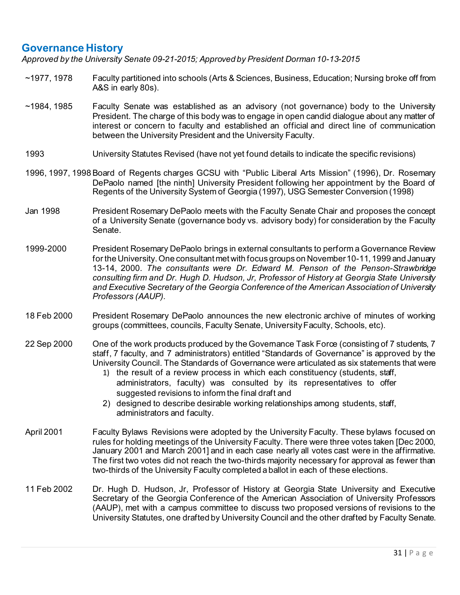### **Governance History**

*Approved by the University Senate 09-21-2015; Approved by President Dorman 10-13-2015*

- ~1977, 1978 Faculty partitioned into schools (Arts & Sciences, Business, Education; Nursing broke off from A&S in early 80s).
- ~1984, 1985 Faculty Senate was established as an advisory (not governance) body to the University President. The charge of this body was to engage in open candid dialogue about any matter of interest or concern to faculty and established an official and direct line of communication between the University President and the University Faculty.
- 1993 University Statutes Revised (have not yet found details to indicate the specific revisions)
- 1996, 1997, 1998 Board of Regents charges GCSU with "Public Liberal Arts Mission" (1996), Dr. Rosemary DePaolo named [the ninth] University President following her appointment by the Board of Regents of the University System of Georgia (1997), USG Semester Conversion (1998)
- Jan 1998 President Rosemary DePaolo meets with the Faculty Senate Chair and proposes the concept of a University Senate (governance body vs. advisory body) for consideration by the Faculty Senate.
- 1999-2000 President Rosemary DePaolo brings in external consultants to perform a Governance Review for the University. One consultant met with focus groups on November 10-11, 1999 and January 13-14, 2000. *The consultants were Dr. Edward M. Penson of the Penson-Strawbridge consulting firm and Dr. Hugh D. Hudson, Jr, Professor of History at Georgia State University and Executive Secretary of the Georgia Conference of the American Association of University Professors (AAUP).*
- 18 Feb 2000 President Rosemary DePaolo announces the new electronic archive of minutes of working groups (committees, councils, Faculty Senate, University Faculty, Schools, etc).
- 22 Sep 2000 One of the work products produced by the Governance Task Force (consisting of 7 students, 7 staff, 7 faculty, and 7 administrators) entitled "Standards of Governance" is approved by the University Council. The Standards of Governance were articulated as six statements that were
	- 1) the result of a review process in which each constituency (students, staff, administrators, faculty) was consulted by its representatives to offer suggested revisions to inform the final draft and
	- 2) designed to describe desirable working relationships among students, staff, administrators and faculty.
- April 2001 Faculty Bylaws Revisions were adopted by the University Faculty. These bylaws focused on rules for holding meetings of the University Faculty. There were three votes taken [Dec 2000, January 2001 and March 2001] and in each case nearly all votes cast were in the affirmative. The first two votes did not reach the two-thirds majority necessary for approval as fewer than two-thirds of the University Faculty completed a ballot in each of these elections.
- 11 Feb 2002 Dr. Hugh D. Hudson, Jr, Professor of History at Georgia State University and Executive Secretary of the Georgia Conference of the American Association of University Professors (AAUP), met with a campus committee to discuss two proposed versions of revisions to the University Statutes, one drafted by University Council and the other drafted by Faculty Senate.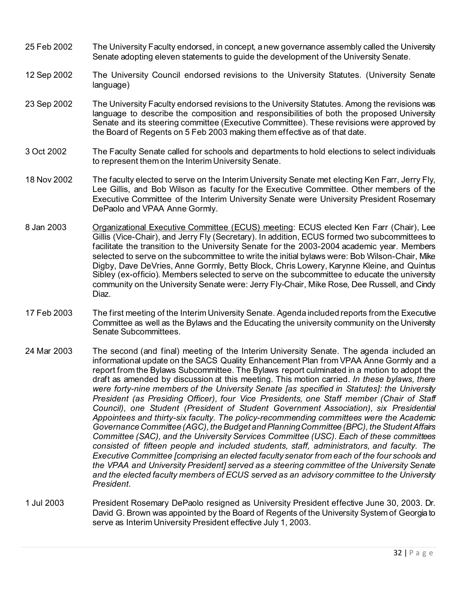- 25 Feb 2002 The University Faculty endorsed, in concept, a new governance assembly called the University Senate adopting eleven statements to guide the development of the University Senate.
- 12 Sep 2002 The University Council endorsed revisions to the University Statutes. (University Senate language)
- 23 Sep 2002 The University Faculty endorsed revisions to the University Statutes. Among the revisions was language to describe the composition and responsibilities of both the proposed University Senate and its steering committee (Executive Committee). These revisions were approved by the Board of Regents on 5 Feb 2003 making them effective as of that date.
- 3 Oct 2002 The Faculty Senate called for schools and departments to hold elections to select individuals to represent them on the Interim University Senate.
- 18 Nov 2002 The faculty elected to serve on the Interim University Senate met electing Ken Farr, Jerry Fly, Lee Gillis, and Bob Wilson as faculty for the Executive Committee. Other members of the Executive Committee of the Interim University Senate were University President Rosemary DePaolo and VPAA Anne Gormly.
- 8 Jan 2003 Organizational Executive Committee (ECUS) meeting: ECUS elected Ken Farr (Chair), Lee Gillis (Vice-Chair), and Jerry Fly (Secretary). In addition, ECUS formed two subcommittees to facilitate the transition to the University Senate for the 2003-2004 academic year. Members selected to serve on the subcommittee to write the initial bylaws were: Bob Wilson-Chair, Mike Digby, Dave DeVries, Anne Gormly, Betty Block, Chris Lowery, Karynne Kleine, and Quintus Sibley (ex-officio). Members selected to serve on the subcommittee to educate the university community on the University Senate were: Jerry Fly-Chair, Mike Rose, Dee Russell, and Cindy Diaz.
- 17 Feb 2003 The first meeting of the Interim University Senate. Agenda included reports from the Executive Committee as well as the Bylaws and the Educating the university community on the University Senate Subcommittees.
- 24 Mar 2003 The second (and final) meeting of the Interim University Senate. The agenda included an informational update on the SACS Quality Enhancement Plan from VPAA Anne Gormly and a report from the Bylaws Subcommittee. The Bylaws report culminated in a motion to adopt the draft as amended by discussion at this meeting. This motion carried. *In these bylaws, there were forty-nine members of the University Senate [as specified in Statutes]: the University President (as Presiding Officer), four Vice Presidents, one Staff member (Chair of Staff Council), one Student (President of Student Government Association), six Presidential Appointees and thirty-six faculty. The policy-recommending committees were the Academic Governance Committee (AGC), the Budget and Planning Committee (BPC), the Student Affairs Committee (SAC), and the University Services Committee (USC). Each of these committees consisted of fifteen people and included students, staff, administrators, and faculty. The Executive Committee [comprising an elected faculty senator from each of the four schools and the VPAA and University President] served as a steering committee of the University Senate and the elected faculty members of ECUS served as an advisory committee to the University President*.
- 1 Jul 2003 President Rosemary DePaolo resigned as University President effective June 30, 2003. Dr. David G. Brown was appointed by the Board of Regents of the University System of Georgia to serve as Interim University President effective July 1, 2003.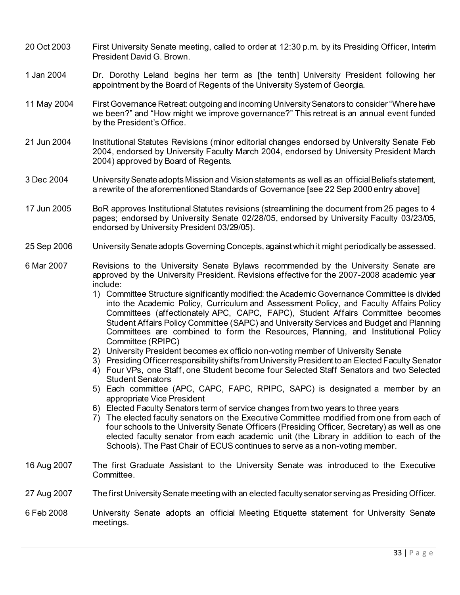- 20 Oct 2003 First University Senate meeting, called to order at 12:30 p.m. by its Presiding Officer, Interim President David G. Brown.
- 1 Jan 2004 Dr. Dorothy Leland begins her term as [the tenth] University President following her appointment by the Board of Regents of the University System of Georgia.
- 11 May 2004 First Governance Retreat: outgoing and incoming University Senators to consider "Where have we been?" and "How might we improve governance?" This retreat is an annual event funded by the President's Office.
- 21 Jun 2004 Institutional Statutes Revisions (minor editorial changes endorsed by University Senate Feb 2004, endorsed by University Faculty March 2004, endorsed by University President March 2004) approved by Board of Regents.
- 3 Dec 2004 University Senate adopts Mission and Vision statements as well as an official Beliefs statement, a rewrite of the aforementioned Standards of Governance [see 22 Sep 2000 entry above]
- 17 Jun 2005 BoR approves Institutional Statutes revisions (streamlining the document from 25 pages to 4 pages; endorsed by University Senate 02/28/05, endorsed by University Faculty 03/23/05, endorsed by University President 03/29/05).
- 25 Sep 2006 University Senate adopts Governing Concepts, against which it might periodically be assessed.
- 6 Mar 2007 Revisions to the University Senate Bylaws recommended by the University Senate are approved by the University President. Revisions effective for the 2007-2008 academic year include:
	- 1) Committee Structure significantly modified: the Academic Governance Committee is divided into the Academic Policy, Curriculum and Assessment Policy, and Faculty Affairs Policy Committees (affectionately APC, CAPC, FAPC), Student Affairs Committee becomes Student Affairs Policy Committee (SAPC) and University Services and Budget and Planning Committees are combined to form the Resources, Planning, and Institutional Policy Committee (RPIPC)
	- 2) University President becomes ex officio non-voting member of University Senate
	- 3) Presiding Officer responsibility shifts from University President to an Elected Faculty Senator
	- 4) Four VPs, one Staff, one Student become four Selected Staff Senators and two Selected Student Senators
	- 5) Each committee (APC, CAPC, FAPC, RPIPC, SAPC) is designated a member by an appropriate Vice President
	- 6) Elected Faculty Senators term of service changes from two years to three years
	- 7) The elected faculty senators on the Executive Committee modified from one from each of four schools to the University Senate Officers (Presiding Officer, Secretary) as well as one elected faculty senator from each academic unit (the Library in addition to each of the Schools). The Past Chair of ECUS continues to serve as a non-voting member.
- 16 Aug 2007 The first Graduate Assistant to the University Senate was introduced to the Executive Committee.
- 27 Aug 2007 The first University Senate meeting with an elected faculty senator serving as Presiding Officer.
- 6 Feb 2008 University Senate adopts an official Meeting Etiquette statement for University Senate meetings.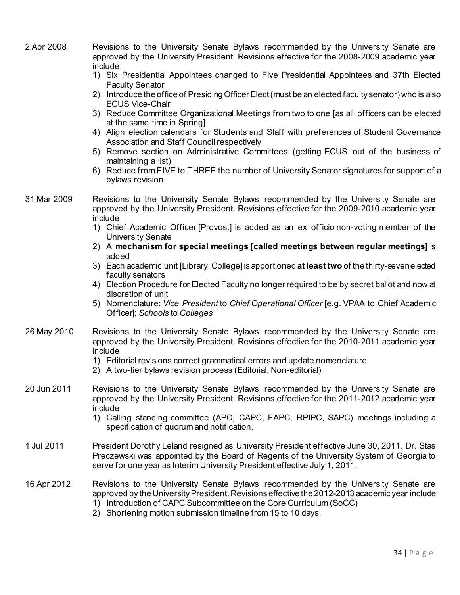2 Apr 2008 Revisions to the University Senate Bylaws recommended by the University Senate are approved by the University President. Revisions effective for the 2008-2009 academic year include 1) Six Presidential Appointees changed to Five Presidential Appointees and 37th Elected Faculty Senator 2) Introduce the office of Presiding Officer Elect (must be an elected faculty senator) who is also ECUS Vice-Chair 3) Reduce Committee Organizational Meetings from two to one [as all officers can be elected at the same time in Spring] 4) Align election calendars for Students and Staff with preferences of Student Governance Association and Staff Council respectively 5) Remove section on Administrative Committees (getting ECUS out of the business of maintaining a list) 6) Reduce from FIVE to THREE the number of University Senator signatures for support of a bylaws revision 31 Mar 2009 Revisions to the University Senate Bylaws recommended by the University Senate are approved by the University President. Revisions effective for the 2009-2010 academic year include 1) Chief Academic Officer [Provost] is added as an ex officio non-voting member of the University Senate 2) A **mechanism for special meetings [called meetings between regular meetings]** is added 3) Each academic unit [Library, College] is apportioned **at least two** of the thirty-seven elected faculty senators 4) Election Procedure for Elected Faculty no longer required to be by secret ballot and now at discretion of unit 5) Nomenclature: *Vice President* to *Chief Operational Officer* [e.g. VPAA to Chief Academic Officer]; *Schools* to *Colleges* 26 May 2010 Revisions to the University Senate Bylaws recommended by the University Senate are approved by the University President. Revisions effective for the 2010-2011 academic year include 1) Editorial revisions correct grammatical errors and update nomenclature 2) A two-tier bylaws revision process (Editorial, Non-editorial) 20 Jun 2011 Revisions to the University Senate Bylaws recommended by the University Senate are approved by the University President. Revisions effective for the 2011-2012 academic year include 1) Calling standing committee (APC, CAPC, FAPC, RPIPC, SAPC) meetings including a specification of quorum and notification. 1 Jul 2011 President Dorothy Leland resigned as University President effective June 30, 2011. Dr. Stas Preczewski was appointed by the Board of Regents of the University System of Georgia to serve for one year as Interim University President effective July 1, 2011. 16 Apr 2012 Revisions to the University Senate Bylaws recommended by the University Senate are approved by the University President. Revisions effective the 2012-2013 academic year include 1) Introduction of CAPC Subcommittee on the Core Curriculum (SoCC) 2) Shortening motion submission timeline from 15 to 10 days.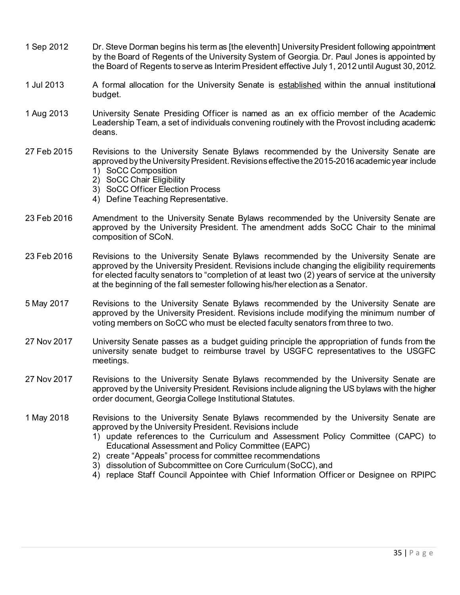- 1 Sep 2012 Dr. Steve Dorman begins his term as [the eleventh] University President following appointment by the Board of Regents of the University System of Georgia. Dr. Paul Jones is appointed by the Board of Regents to serve as Interim President effective July 1, 2012 until August 30, 2012.
- 1 Jul 2013 A formal allocation for the University Senate is established within the annual institutional budget.
- 1 Aug 2013 University Senate Presiding Officer is named as an ex officio member of the Academic Leadership Team, a set of individuals convening routinely with the Provost including academic deans.
- 27 Feb 2015 Revisions to the University Senate Bylaws recommended by the University Senate are approved by the University President. Revisions effective the 2015-2016 academic year include 1) SoCC Composition
	- 2) SoCC Chair Eligibility
	- 3) SoCC Officer Election Process
	- 4) Define Teaching Representative.
- 23 Feb 2016 Amendment to the University Senate Bylaws recommended by the University Senate are approved by the University President. The amendment adds SoCC Chair to the minimal composition of SCoN.
- 23 Feb 2016 Revisions to the University Senate Bylaws recommended by the University Senate are approved by the University President. Revisions include changing the eligibility requirements for elected faculty senators to "completion of at least two (2) years of service at the university at the beginning of the fall semester following his/her election as a Senator.
- 5 May 2017 Revisions to the University Senate Bylaws recommended by the University Senate are approved by the University President. Revisions include modifying the minimum number of voting members on SoCC who must be elected faculty senators from three to two.
- 27 Nov 2017 University Senate passes as a budget guiding principle the appropriation of funds from the university senate budget to reimburse travel by USGFC representatives to the USGFC meetings.
- 27 Nov 2017 Revisions to the University Senate Bylaws recommended by the University Senate are approved by the University President. Revisions include aligning the US bylaws with the higher order document, Georgia College Institutional Statutes.
- 1 May 2018 Revisions to the University Senate Bylaws recommended by the University Senate are approved by the University President. Revisions include
	- 1) update references to the Curriculum and Assessment Policy Committee (CAPC) to Educational Assessment and Policy Committee (EAPC)
	- 2) create "Appeals" process for committee recommendations
	- 3) dissolution of Subcommittee on Core Curriculum (SoCC), and
	- 4) replace Staff Council Appointee with Chief Information Officer or Designee on RPIPC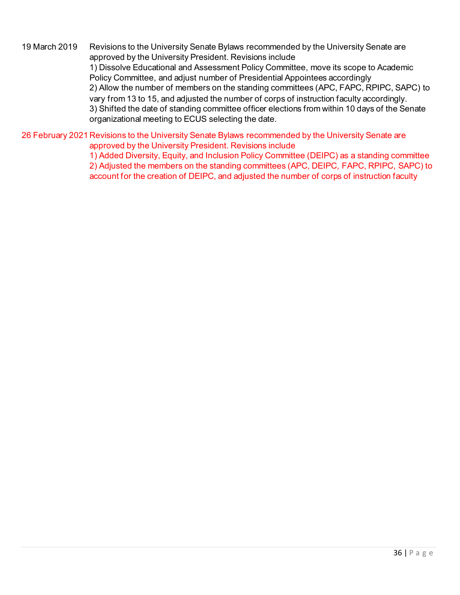19 March 2019 Revisions to the University Senate Bylaws recommended by the University Senate are approved by the University President. Revisions include 1) Dissolve Educational and Assessment Policy Committee, move its scope to Academic Policy Committee, and adjust number of Presidential Appointees accordingly 2) Allow the number of members on the standing committees (APC, FAPC, RPIPC, SAPC) to vary from 13 to 15, and adjusted the number of corps of instruction faculty accordingly. 3) Shifted the date of standing committee officer elections from within 10 days of the Senate organizational meeting to ECUS selecting the date.

26 February 2021 Revisions to the University Senate Bylaws recommended by the University Senate are approved by the University President. Revisions include

> 1) Added Diversity, Equity, and Inclusion Policy Committee (DEIPC) as a standing committee 2) Adjusted the members on the standing committees (APC, DEIPC, FAPC, RPIPC, SAPC) to account for the creation of DEIPC, and adjusted the number of corps of instruction faculty